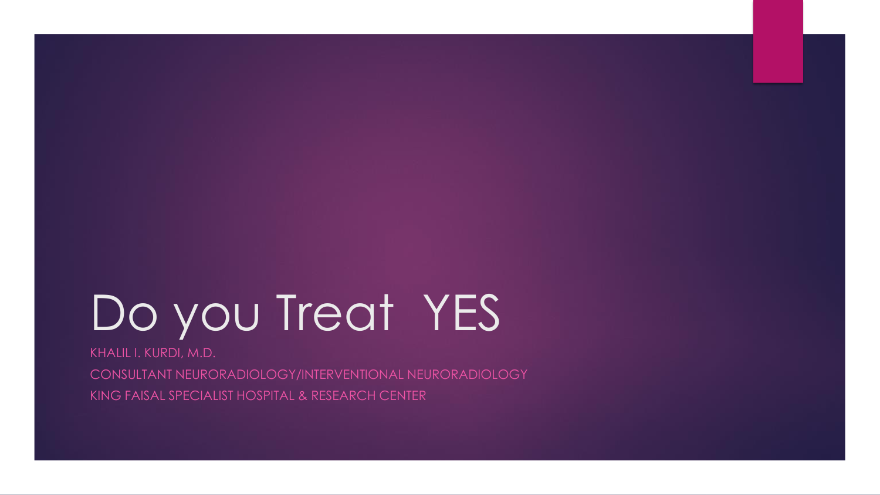# Do you Treat YES

KHALIL I. KURDI, M.D.

CONSULTANT NEURORADIOLOGY/INTERVENTIONAL NEURORADIOLOGY KING FAISAL SPECIALIST HOSPITAL & RESEARCH CENTER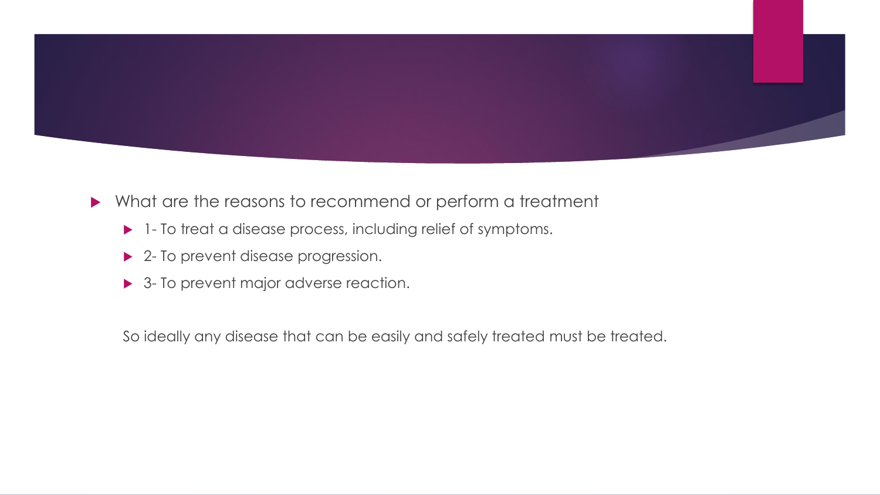

- What are the reasons to recommend or perform a treatment
	- 1- To treat a disease process, including relief of symptoms.
	- ▶ 2- To prevent disease progression.
	- ▶ 3- To prevent major adverse reaction.

So ideally any disease that can be easily and safely treated must be treated.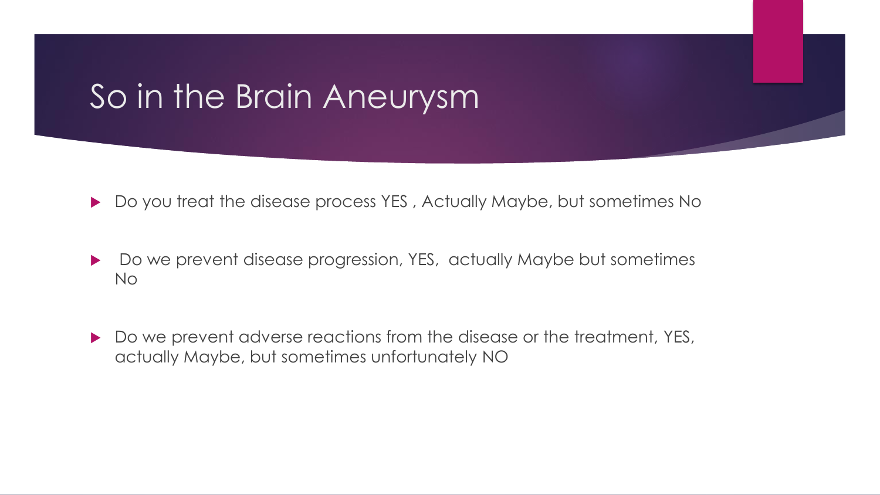# So in the Brain Aneurysm

- ▶ Do you treat the disease process YES, Actually Maybe, but sometimes No
- ▶ Do we prevent disease progression, YES, actually Maybe but sometimes No
- Do we prevent adverse reactions from the disease or the treatment, YES, actually Maybe, but sometimes unfortunately NO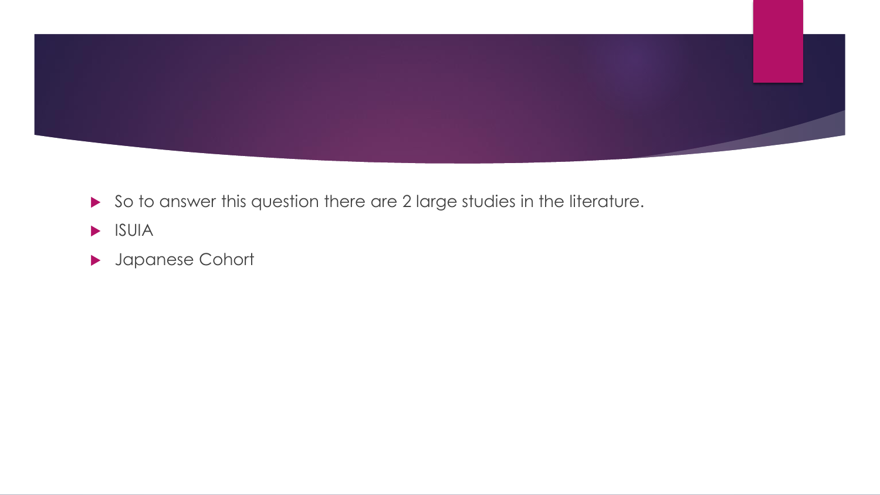

- So to answer this question there are 2 large studies in the literature.
- $\blacktriangleright$  ISUIA
- Japanese Cohort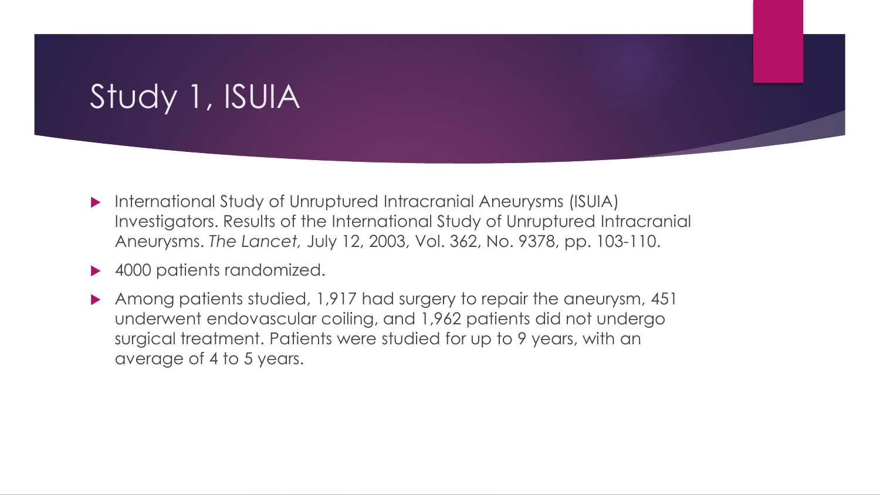# Study 1, ISUIA

- International Study of Unruptured Intracranial Aneurysms (ISUIA) Investigators. Results of the International Study of Unruptured Intracranial Aneurysms. *The Lancet,* July 12, 2003, Vol. 362, No. 9378, pp. 103-110.
- ▶ 4000 patients randomized.
- Among patients studied, 1,917 had surgery to repair the aneurysm, 451 underwent endovascular coiling, and 1,962 patients did not undergo surgical treatment. Patients were studied for up to 9 years, with an average of 4 to 5 years.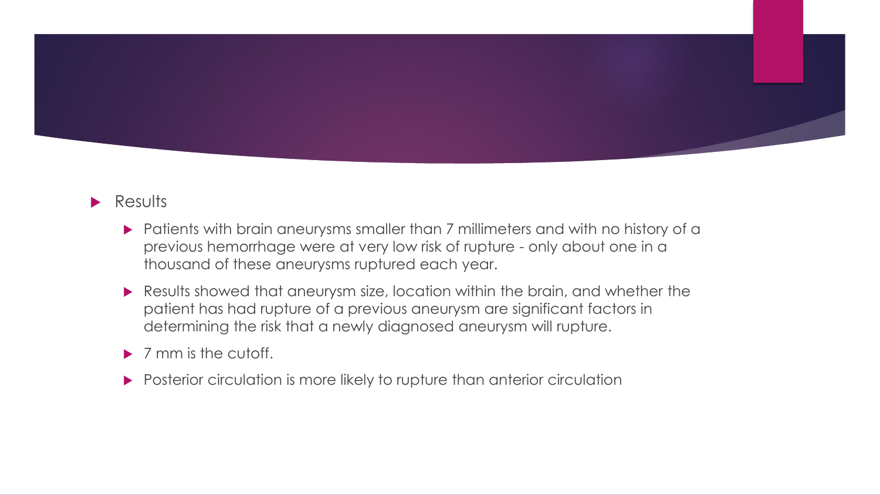

#### **Results**

- **Patients with brain aneurysms smaller than 7 millimeters and with no history of a** previous hemorrhage were at very low risk of rupture - only about one in a thousand of these aneurysms ruptured each year.
- Results showed that aneurysm size, location within the brain, and whether the patient has had rupture of a previous aneurysm are significant factors in determining the risk that a newly diagnosed aneurysm will rupture.
- $\triangleright$  7 mm is the cutoff.
- **Posterior circulation is more likely to rupture than anterior circulation**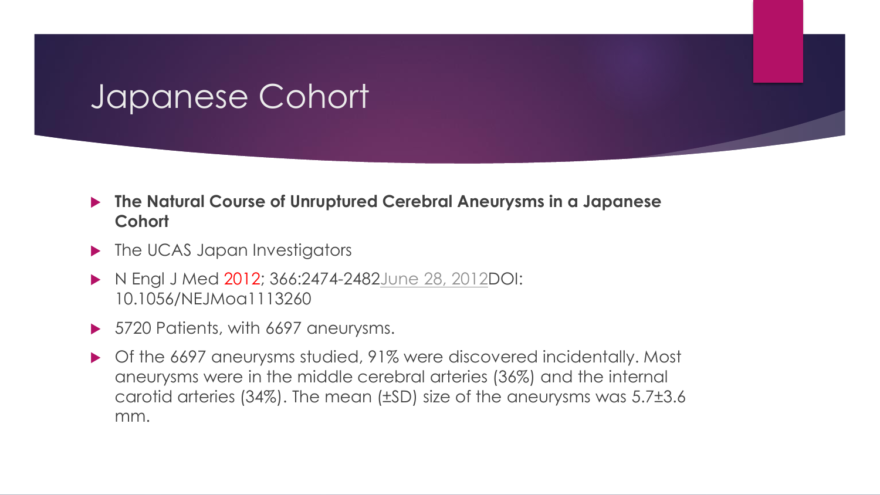## Japanese Cohort

#### **The Natural Course of Unruptured Cerebral Aneurysms in a Japanese Cohort**

- ▶ The UCAS Japan Investigators
- N Engl J Med 2012; 366:2474-2482 [June 28, 2012](http://www.nejm.org/toc/nejm/366/26/) DOI: 10.1056/NEJMoa1113260
- ▶ 5720 Patients, with 6697 aneurysms.
- ▶ Of the 6697 aneurysms studied, 91% were discovered incidentally. Most aneurysms were in the middle cerebral arteries (36%) and the internal carotid arteries (34%). The mean (±SD) size of the aneurysms was 5.7±3.6 mm.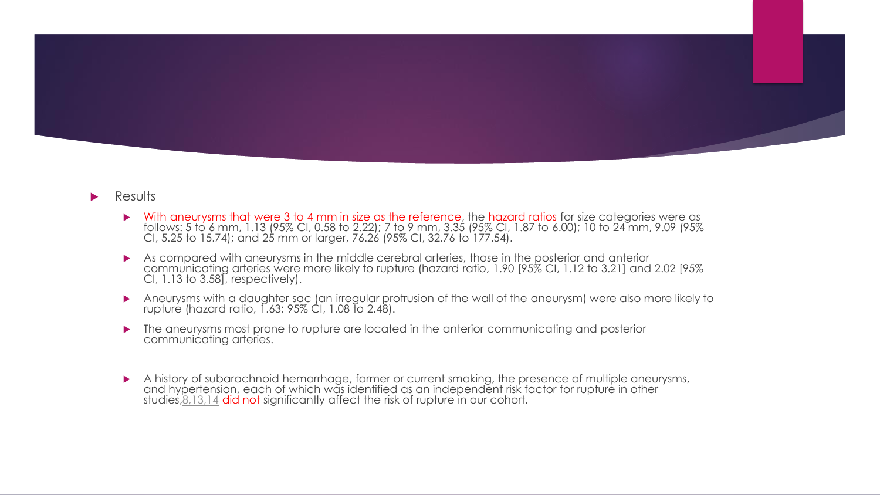

#### Results

- With aneurysms that were 3 to 4 mm in size as the reference, the hazard ratios for size categories were as follows: 5 to 6 mm, 1.13 (95% CI, 0.58 to 2.22); 7 to 9 mm, 3.35 (95% CI, 1.87 to 6.00); 10 to 24 mm, 9.09 (95% CI, 5.25 to 15.74); and 25 mm or larger, 76.26 (95% CI, 32.76 to 177.54).
- As compared with aneurysms in the middle cerebral arteries, those in the posterior and anterior communicating arteries were more likely to rupture (hazard ratio, 1.90 [95% CI, 1.12 to 3.21] and 2.02 [95% CI, 1.13 to 3.58], respectively).
- Aneurysms with a daughter sac (an irregular protrusion of the wall of the aneurysm) were also more likely to rupture (hazard ratio, 1.63; 95% CI, 1.08 to 2.48).
- **The aneurysms most prone to rupture are located in the anterior communicating and posterior** communicating arteries.
- A history of subarachnoid hemorrhage, former or current smoking, the presence of multiple aneurysms, and hypertension, each of which was identified as an independent risk factor for rupture in other studies, 8,13,14 did not significantly affect the risk of rupture in our cohort.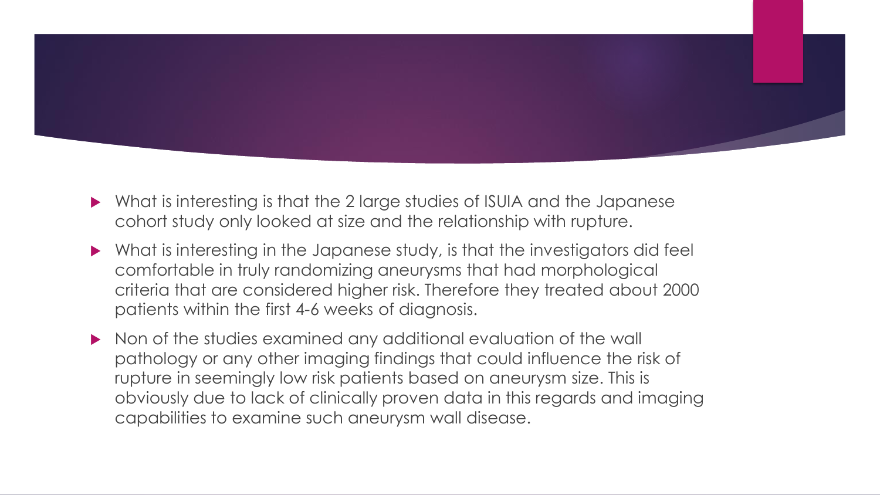

- What is interesting is that the 2 large studies of ISUIA and the Japanese cohort study only looked at size and the relationship with rupture.
- What is interesting in the Japanese study, is that the investigators did feel comfortable in truly randomizing aneurysms that had morphological criteria that are considered higher risk. Therefore they treated about 2000 patients within the first 4-6 weeks of diagnosis.
- Non of the studies examined any additional evaluation of the wall pathology or any other imaging findings that could influence the risk of rupture in seemingly low risk patients based on aneurysm size. This is obviously due to lack of clinically proven data in this regards and imaging capabilities to examine such aneurysm wall disease.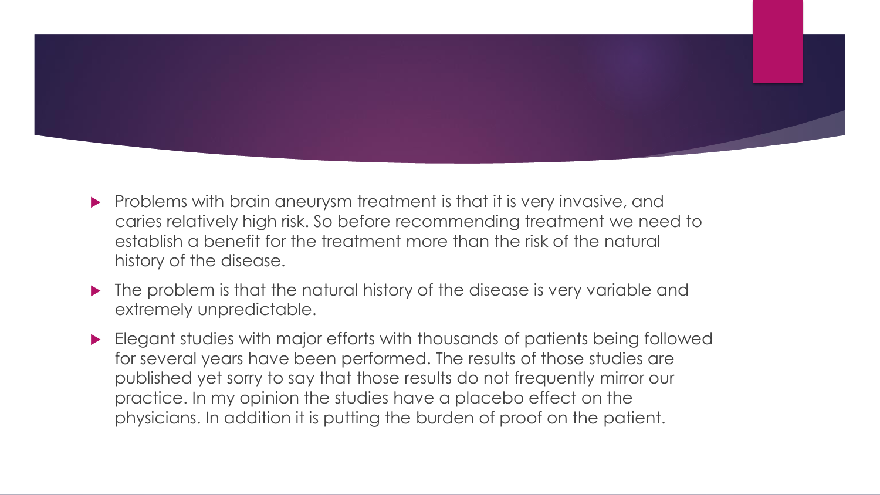

- **Problems with brain aneurysm treatment is that it is very invasive, and** caries relatively high risk. So before recommending treatment we need to establish a benefit for the treatment more than the risk of the natural history of the disease.
- The problem is that the natural history of the disease is very variable and extremely unpredictable.
- Elegant studies with major efforts with thousands of patients being followed for several years have been performed. The results of those studies are published yet sorry to say that those results do not frequently mirror our practice. In my opinion the studies have a placebo effect on the physicians. In addition it is putting the burden of proof on the patient.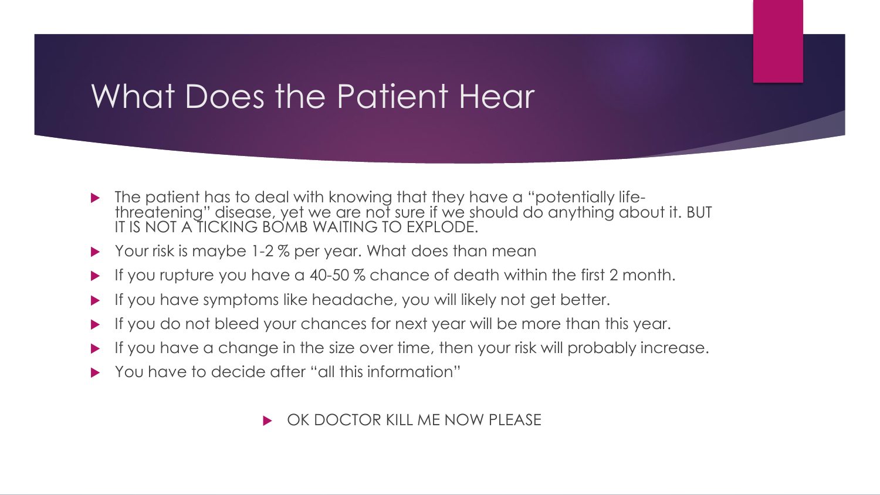# What Does the Patient Hear

- **The patient has to deal with knowing that they have a "potentially life**threatening" disease, yet we are not sure if we should do anything about it. BUT IT IS NOT A TICKING BOMB WAITING TO EXPLODE.
- ▶ Your risk is maybe 1-2% per year. What does than mean
- If you rupture you have a 40-50 % chance of death within the first 2 month.
- If you have symptoms like headache, you will likely not get better.
- If you do not bleed your chances for next year will be more than this year.
- $\blacktriangleright$  If you have a change in the size over time, then your risk will probably increase.
- You have to decide after "all this information"

#### OK DOCTOR KILL ME NOW PLEASE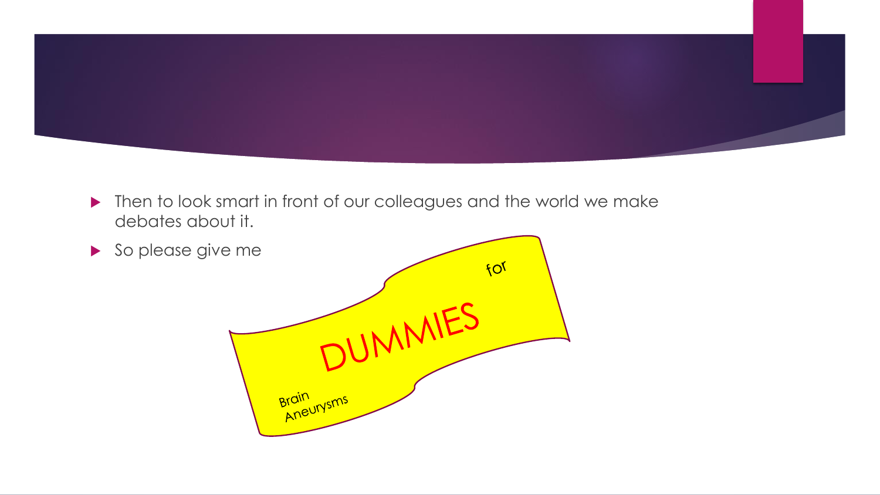

▶ Then to look smart in front of our colleagues and the world we make debates about it.

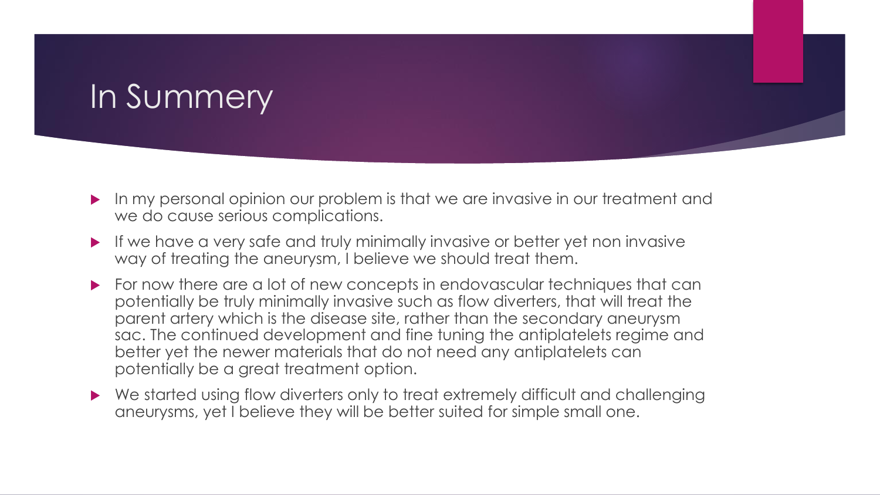# In Summery

- In my personal opinion our problem is that we are invasive in our treatment and we do cause serious complications.
- If we have a very safe and truly minimally invasive or better yet non invasive way of treating the aneurysm, I believe we should treat them.
- For now there are a lot of new concepts in endovascular techniques that can potentially be truly minimally invasive such as flow diverters, that will treat the parent artery which is the disease site, rather than the secondary aneurysm sac. The continued development and fine tuning the antiplatelets regime and better yet the newer materials that do not need any antiplatelets can potentially be a great treatment option.
- We started using flow diverters only to treat extremely difficult and challenging aneurysms, yet I believe they will be better suited for simple small one.